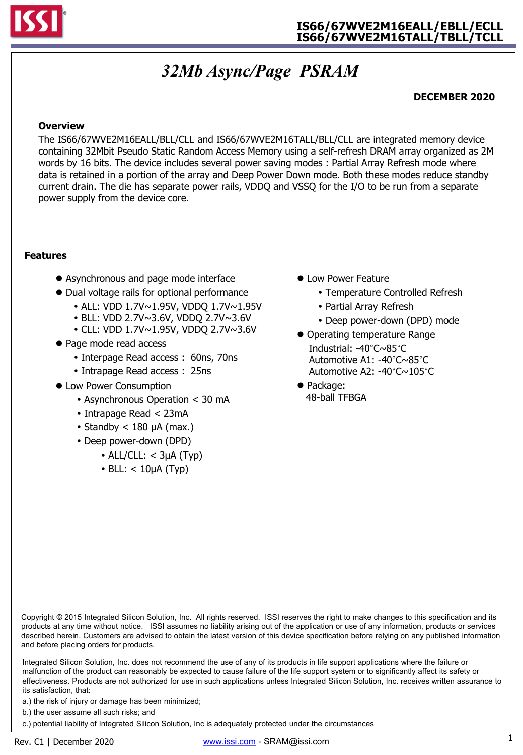

# *32Mb Async/Page PSRAM*

### **DECEMBER 2020**

#### **Overview**

The IS66/67WVE2M16EALL/BLL/CLL and IS66/67WVE2M16TALL/BLL/CLL are integrated memory device containing 32Mbit Pseudo Static Random Access Memory using a self-refresh DRAM array organized as 2M words by 16 bits. The device includes several power saving modes : Partial Array Refresh mode where data is retained in a portion of the array and Deep Power Down mode. Both these modes reduce standby current drain. The die has separate power rails, VDDQ and VSSQ for the I/O to be run from a separate power supply from the device core.

#### **Features**

- Asynchronous and page mode interface
- Dual voltage rails for optional performance
	- ALL: VDD 1.7V~1.95V, VDDQ 1.7V~1.95V
	- BLL: VDD 2.7V~3.6V, VDDQ 2.7V~3.6V
	- CLL: VDD 1.7V~1.95V, VDDQ 2.7V~3.6V
- Page mode read access
	- Interpage Read access : 60ns, 70ns
	- Intrapage Read access : 25ns
- Low Power Consumption
	- Asynchronous Operation < 30 mA
	- Intrapage Read < 23mA
	- Standby  $<$  180  $\mu$ A (max.)
	- Deep power-down (DPD)
		- $\bullet$  ALL/CLL:  $<$  3µA (Typ)
		- $\cdot$  BLL: < 10µA (Typ)
- Low Power Feature
	- Temperature Controlled Refresh
	- Partial Array Refresh
	- Deep power-down (DPD) mode
- Operating temperature Range Industrial: -40°C~85°C Automotive A1: -40°C~85°C Automotive A2: -40°C~105°C
- Package: 48-ball TFBGA

Copyright © 2015 Integrated Silicon Solution, Inc. All rights reserved. ISSI reserves the right to make changes to this specification and its products at any time without notice. ISSI assumes no liability arising out of the application or use of any information, products or services described herein. Customers are advised to obtain the latest version of this device specification before relying on any published information and before placing orders for products.

Integrated Silicon Solution, Inc. does not recommend the use of any of its products in life support applications where the failure or malfunction of the product can reasonably be expected to cause failure of the life support system or to significantly affect its safety or effectiveness. Products are not authorized for use in such applications unless Integrated Silicon Solution, Inc. receives written assurance to its satisfaction, that:

a.) the risk of injury or damage has been minimized;

b.) the user assume all such risks; and

c.) potential liability of Integrated Silicon Solution, Inc is adequately protected under the circumstances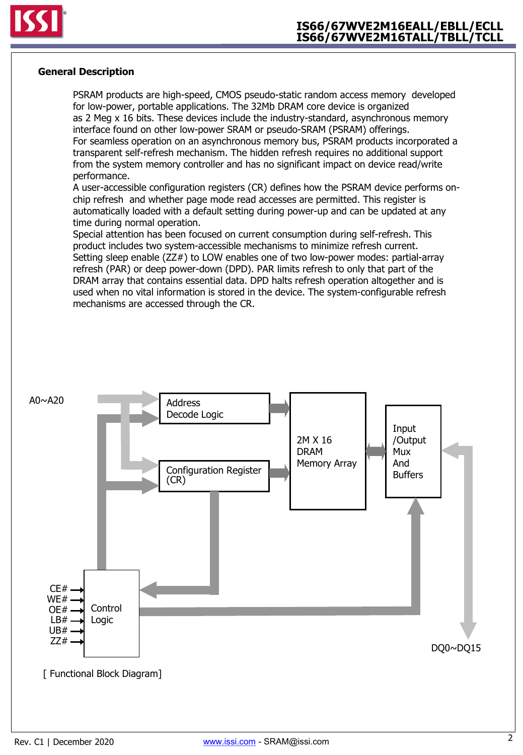

#### **General Description**

PSRAM products are high-speed, CMOS pseudo-static random access memory developed for low-power, portable applications. The 32Mb DRAM core device is organized as 2 Meg x 16 bits. These devices include the industry-standard, asynchronous memory interface found on other low-power SRAM or pseudo-SRAM (PSRAM) offerings. For seamless operation on an asynchronous memory bus, PSRAM products incorporated a transparent self-refresh mechanism. The hidden refresh requires no additional support from the system memory controller and has no significant impact on device read/write performance.

A user-accessible configuration registers (CR) defines how the PSRAM device performs onchip refresh and whether page mode read accesses are permitted. This register is automatically loaded with a default setting during power-up and can be updated at any time during normal operation.

Special attention has been focused on current consumption during self-refresh. This product includes two system-accessible mechanisms to minimize refresh current. Setting sleep enable (ZZ#) to LOW enables one of two low-power modes: partial-array refresh (PAR) or deep power-down (DPD). PAR limits refresh to only that part of the DRAM array that contains essential data. DPD halts refresh operation altogether and is used when no vital information is stored in the device. The system-configurable refresh mechanisms are accessed through the CR.

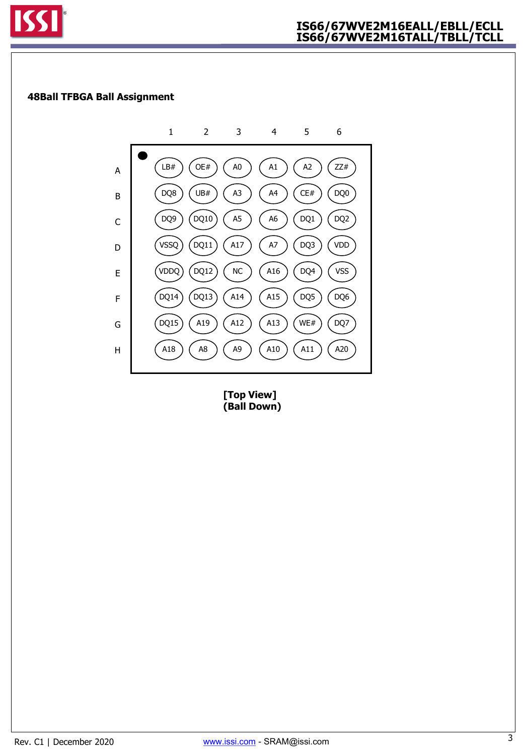

### **48Ball TFBGA Ball Assignment**



**[Top View] (Ball Down)**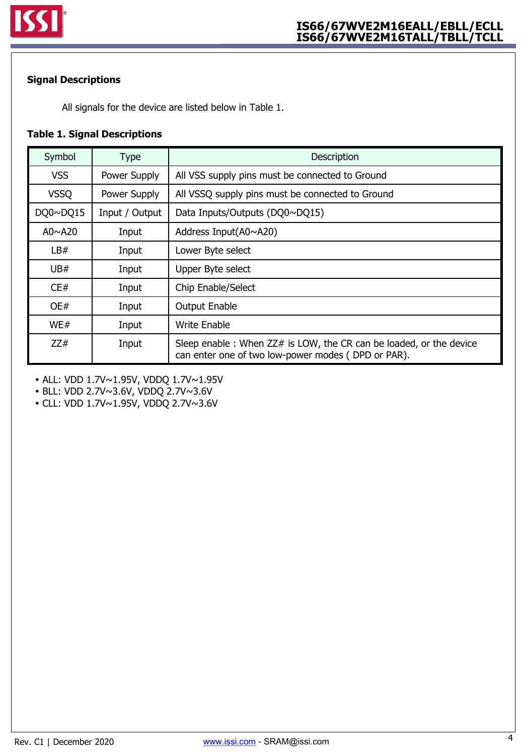

### **Signal Descriptions**

All signals for the device are listed below in Table 1.

### **Table 1. Signal Descriptions**

| Symbol        | <b>Type</b>    | Description                                                                                                              |
|---------------|----------------|--------------------------------------------------------------------------------------------------------------------------|
| <b>VSS</b>    | Power Supply   | All VSS supply pins must be connected to Ground                                                                          |
| <b>VSSQ</b>   | Power Supply   | All VSSQ supply pins must be connected to Ground                                                                         |
| DQ0~DQ15      | Input / Output | Data Inputs/Outputs (DQ0~DQ15)                                                                                           |
| A0 $\sim$ A20 | Input          | Address Input( $A0 \sim A20$ )                                                                                           |
| LB#           | Input          | Lower Byte select                                                                                                        |
| UB#           | Input          | Upper Byte select                                                                                                        |
| CE#           | Input          | Chip Enable/Select                                                                                                       |
| OE#           | Input          | <b>Output Enable</b>                                                                                                     |
| WE#           | Input          | <b>Write Enable</b>                                                                                                      |
| ZZ#           | Input          | Sleep enable: When ZZ# is LOW, the CR can be loaded, or the device<br>can enter one of two low-power modes (DPD or PAR). |

ALL: VDD 1.7V~1.95V, VDDQ 1.7V~1.95V

BLL: VDD 2.7V~3.6V, VDDQ 2.7V~3.6V

CLL: VDD 1.7V~1.95V, VDDQ 2.7V~3.6V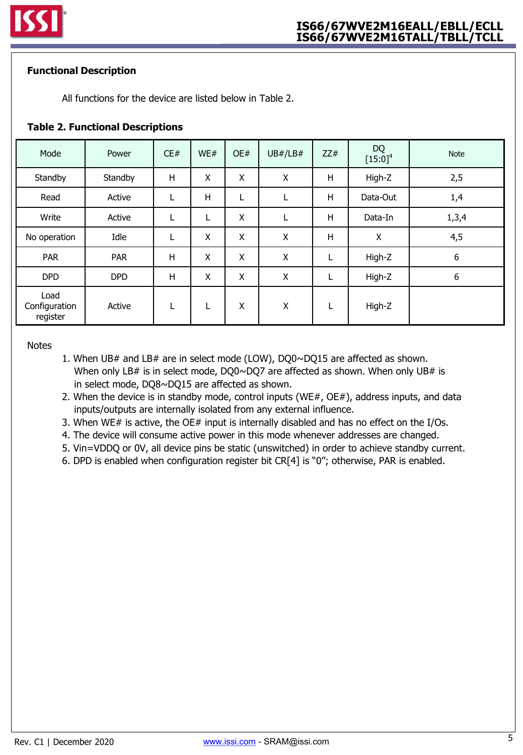### **Functional Description**

All functions for the device are listed below in Table 2.

### **Table 2. Functional Descriptions**

| Mode                              | Power      | CE# | WE# | OE#          | UB# / LB# | ZZ# | <b>DQ</b><br>$[15:0]^4$ | <b>Note</b> |
|-----------------------------------|------------|-----|-----|--------------|-----------|-----|-------------------------|-------------|
| Standby                           | Standby    | Η   | X   | $\mathsf{X}$ | X         | Η   | High-Z                  | 2,5         |
| Read                              | Active     | L   | H   | L            | L         | Η   | Data-Out                | 1,4         |
| Write                             | Active     | L   | L   | X            | L         | Н   | Data-In                 | 1,3,4       |
| No operation                      | Idle       |     | X   | X            | X         | н   | Χ                       | 4,5         |
| <b>PAR</b>                        | <b>PAR</b> | Η   | X   | X            | Χ         | L   | High-Z                  | 6           |
| <b>DPD</b>                        | <b>DPD</b> | н   | X   | X            | X         | L   | High-Z                  | 6           |
| Load<br>Configuration<br>register | Active     | L   | L   | X            | X         | L   | High-Z                  |             |

#### **Notes**

- 1. When UB# and LB# are in select mode (LOW), DQ0~DQ15 are affected as shown. When only LB# is in select mode, DQ0~DQ7 are affected as shown. When only UB# is in select mode, DQ8~DQ15 are affected as shown.
- 2. When the device is in standby mode, control inputs (WE#,  $OE#$ ), address inputs, and data inputs/outputs are internally isolated from any external influence.
- 3. When WE# is active, the OE# input is internally disabled and has no effect on the I/Os.
- 4. The device will consume active power in this mode whenever addresses are changed.
- 5. Vin=VDDQ or 0V, all device pins be static (unswitched) in order to achieve standby current.
- 6. DPD is enabled when configuration register bit CR[4] is "0"; otherwise, PAR is enabled.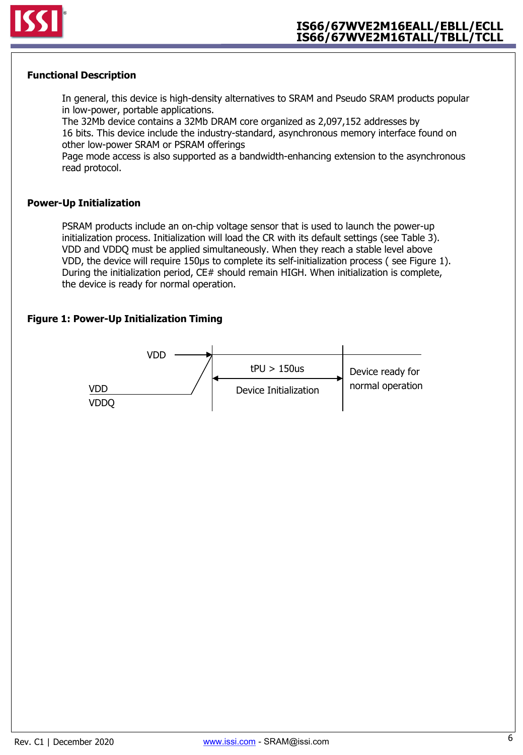

### **Functional Description**

In general, this device is high-density alternatives to SRAM and Pseudo SRAM products popular in low-power, portable applications.

The 32Mb device contains a 32Mb DRAM core organized as 2,097,152 addresses by 16 bits. This device include the industry-standard, asynchronous memory interface found on other low-power SRAM or PSRAM offerings

Page mode access is also supported as a bandwidth-enhancing extension to the asynchronous read protocol.

#### **Power-Up Initialization**

PSRAM products include an on-chip voltage sensor that is used to launch the power-up initialization process. Initialization will load the CR with its default settings (see Table 3). VDD and VDDQ must be applied simultaneously. When they reach a stable level above VDD, the device will require 150μs to complete its self-initialization process ( see Figure 1). During the initialization period, CE# should remain HIGH. When initialization is complete, the device is ready for normal operation.

### **Figure 1: Power-Up Initialization Timing**

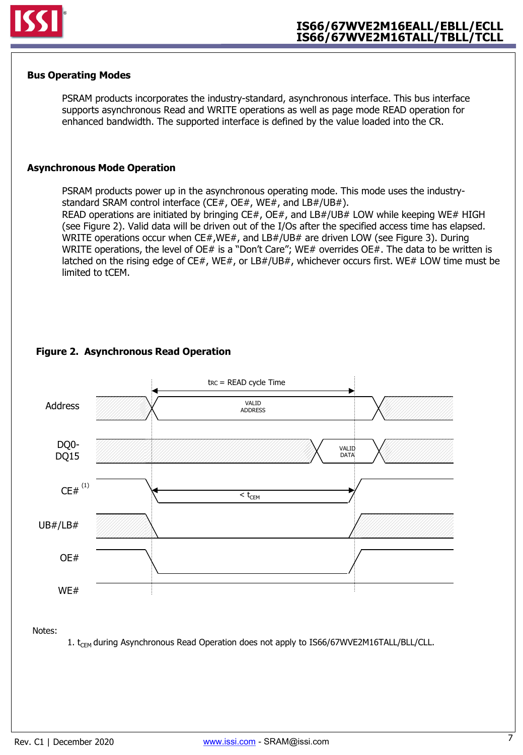

#### **Bus Operating Modes**

PSRAM products incorporates the industry-standard, asynchronous interface. This bus interface supports asynchronous Read and WRITE operations as well as page mode READ operation for enhanced bandwidth. The supported interface is defined by the value loaded into the CR.

#### **Asynchronous Mode Operation**

PSRAM products power up in the asynchronous operating mode. This mode uses the industrystandard SRAM control interface (CE#, OE#, WE#, and LB#/UB#).

READ operations are initiated by bringing CE#, OE#, and LB#/UB# LOW while keeping WE# HIGH (see Figure 2). Valid data will be driven out of the I/Os after the specified access time has elapsed. WRITE operations occur when CE#,WE#, and LB#/UB# are driven LOW (see Figure 3). During WRITE operations, the level of OE# is a "Don't Care"; WE# overrides OE#. The data to be written is latched on the rising edge of CE#, WE#, or LB#/UB#, whichever occurs first. WE# LOW time must be limited to tCEM.



### **Figure 2. Asynchronous Read Operation**

Notes:

1.  $t_{CEM}$  during Asynchronous Read Operation does not apply to IS66/67WVE2M16TALL/BLL/CLL.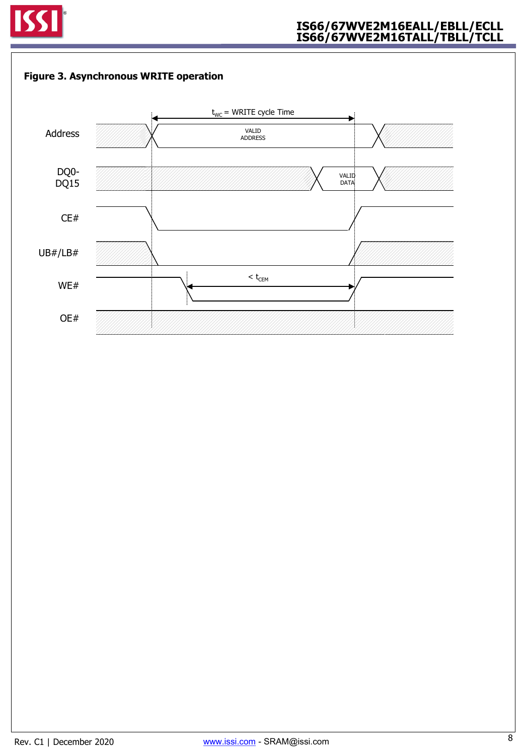



8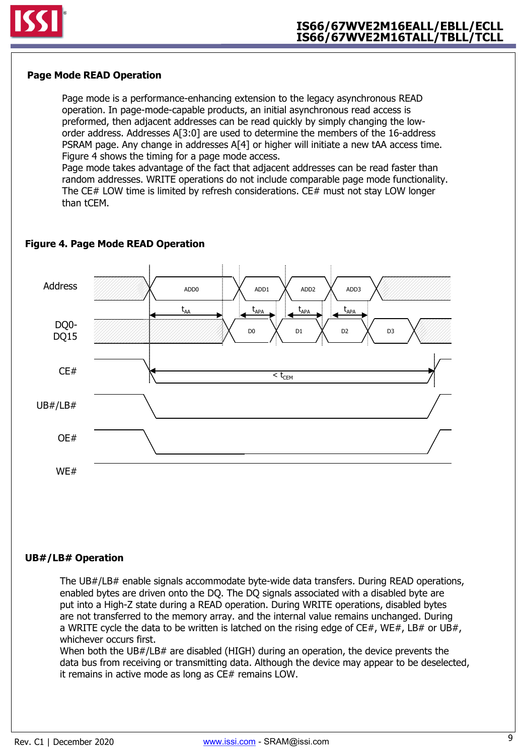

### **Page Mode READ Operation**

Page mode is a performance-enhancing extension to the legacy asynchronous READ operation. In page-mode-capable products, an initial asynchronous read access is preformed, then adjacent addresses can be read quickly by simply changing the loworder address. Addresses A[3:0] are used to determine the members of the 16-address PSRAM page. Any change in addresses A[4] or higher will initiate a new tAA access time. Figure 4 shows the timing for a page mode access.

Page mode takes advantage of the fact that adjacent addresses can be read faster than random addresses. WRITE operations do not include comparable page mode functionality. The CE# LOW time is limited by refresh considerations. CE# must not stay LOW longer than tCEM.



### **Figure 4. Page Mode READ Operation**

### **UB#/LB# Operation**

The UB#/LB# enable signals accommodate byte-wide data transfers. During READ operations, enabled bytes are driven onto the DQ. The DQ signals associated with a disabled byte are put into a High-Z state during a READ operation. During WRITE operations, disabled bytes are not transferred to the memory array. and the internal value remains unchanged. During a WRITE cycle the data to be written is latched on the rising edge of  $CE#$ , WE#, LB# or UB#, whichever occurs first.

When both the UB#/LB# are disabled (HIGH) during an operation, the device prevents the data bus from receiving or transmitting data. Although the device may appear to be deselected, it remains in active mode as long as CE# remains LOW.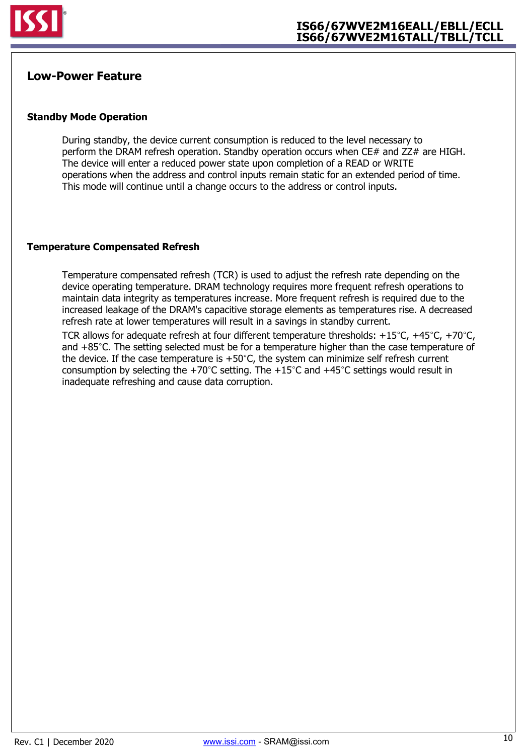

## **Low-Power Feature**

#### **Standby Mode Operation**

During standby, the device current consumption is reduced to the level necessary to perform the DRAM refresh operation. Standby operation occurs when  $CE#$  and  $ZZ#$  are HIGH. The device will enter a reduced power state upon completion of a READ or WRITE operations when the address and control inputs remain static for an extended period of time. This mode will continue until a change occurs to the address or control inputs.

#### **Temperature Compensated Refresh**

Temperature compensated refresh (TCR) is used to adjust the refresh rate depending on the device operating temperature. DRAM technology requires more frequent refresh operations to maintain data integrity as temperatures increase. More frequent refresh is required due to the increased leakage of the DRAM's capacitive storage elements as temperatures rise. A decreased refresh rate at lower temperatures will result in a savings in standby current.

TCR allows for adequate refresh at four different temperature thresholds:  $+15^{\circ}$ C,  $+45^{\circ}$ C,  $+70^{\circ}$ C, and +85°C. The setting selected must be for a temperature higher than the case temperature of the device. If the case temperature is  $+50^{\circ}$ C, the system can minimize self refresh current consumption by selecting the +70°C setting. The +15°C and +45°C settings would result in inadequate refreshing and cause data corruption.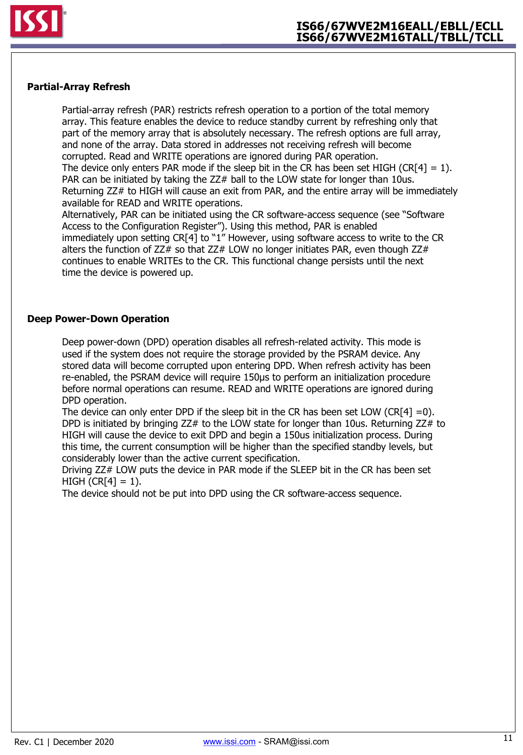

#### **Partial-Array Refresh**

Partial-array refresh (PAR) restricts refresh operation to a portion of the total memory array. This feature enables the device to reduce standby current by refreshing only that part of the memory array that is absolutely necessary. The refresh options are full array, and none of the array. Data stored in addresses not receiving refresh will become corrupted. Read and WRITE operations are ignored during PAR operation. The device only enters PAR mode if the sleep bit in the CR has been set HIGH (CR[4] = 1). PAR can be initiated by taking the ZZ# ball to the LOW state for longer than 10us. Returning ZZ# to HIGH will cause an exit from PAR, and the entire array will be immediately available for READ and WRITE operations.

Alternatively, PAR can be initiated using the CR software-access sequence (see "Software Access to the Configuration Register"). Using this method, PAR is enabled immediately upon setting CR[4] to "1" However, using software access to write to the CR alters the function of  $ZZ#$  so that  $ZZ#$  LOW no longer initiates PAR, even though  $ZZ#$ continues to enable WRITEs to the CR. This functional change persists until the next time the device is powered up.

#### **Deep Power-Down Operation**

Deep power-down (DPD) operation disables all refresh-related activity. This mode is used if the system does not require the storage provided by the PSRAM device. Any stored data will become corrupted upon entering DPD. When refresh activity has been re-enabled, the PSRAM device will require 150μs to perform an initialization procedure before normal operations can resume. READ and WRITE operations are ignored during DPD operation.

The device can only enter DPD if the sleep bit in the CR has been set LOW (CR[4] =0). DPD is initiated by bringing  $ZZ#$  to the LOW state for longer than 10us. Returning  $ZZ#$  to HIGH will cause the device to exit DPD and begin a 150us initialization process. During this time, the current consumption will be higher than the specified standby levels, but considerably lower than the active current specification.

Driving ZZ# LOW puts the device in PAR mode if the SLEEP bit in the CR has been set  $HIGH (CR[4] = 1).$ 

The device should not be put into DPD using the CR software-access sequence.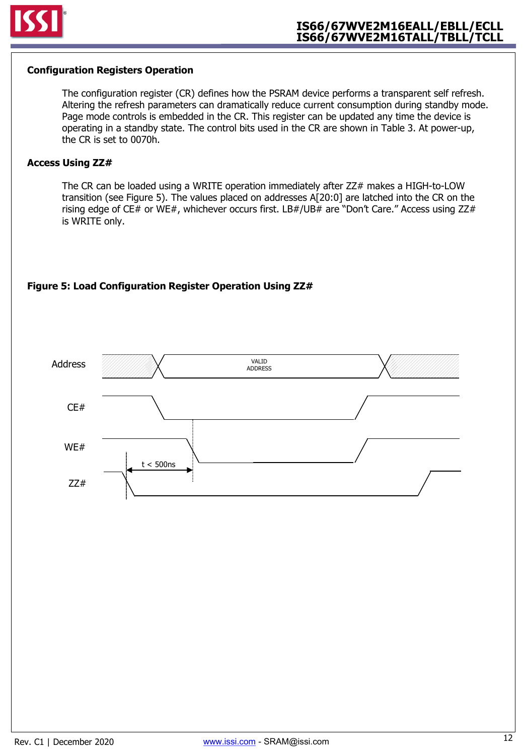

#### **Configuration Registers Operation**

The configuration register (CR) defines how the PSRAM device performs a transparent self refresh. Altering the refresh parameters can dramatically reduce current consumption during standby mode. Page mode controls is embedded in the CR. This register can be updated any time the device is operating in a standby state. The control bits used in the CR are shown in Table 3. At power-up, the CR is set to 0070h.

#### **Access Using ZZ#**

The CR can be loaded using a WRITE operation immediately after ZZ# makes a HIGH-to-LOW transition (see Figure 5). The values placed on addresses A[20:0] are latched into the CR on the rising edge of CE# or WE#, whichever occurs first. LB#/UB# are "Don't Care." Access using ZZ# is WRITE only.

### **Figure 5: Load Configuration Register Operation Using ZZ#**

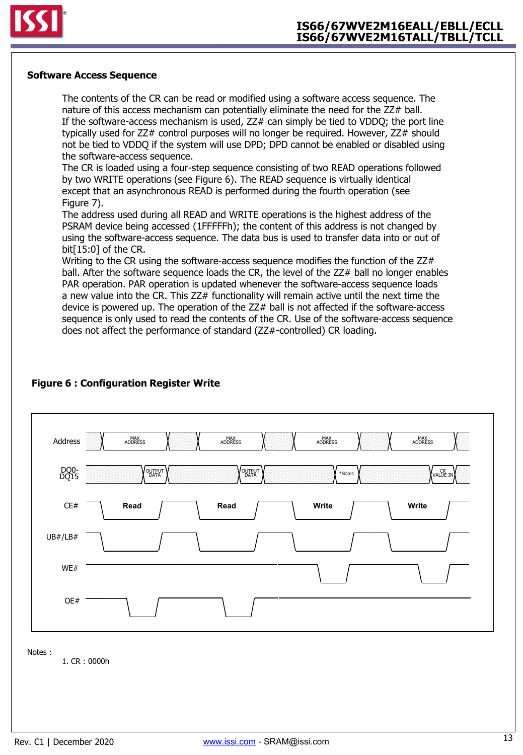

#### **Software Access Sequence**

The contents of the CR can be read or modified using a software access sequence. The nature of this access mechanism can potentially eliminate the need for the ZZ# ball. If the software-access mechanism is used,  $ZZ#$  can simply be tied to VDDQ; the port line typically used for ZZ# control purposes will no longer be required. However, ZZ# should not be tied to VDDQ if the system will use DPD; DPD cannot be enabled or disabled using the software-access sequence.

The CR is loaded using a four-step sequence consisting of two READ operations followed by two WRITE operations (see Figure 6). The READ sequence is virtually identical except that an asynchronous READ is performed during the fourth operation (see Figure 7).

The address used during all READ and WRITE operations is the highest address of the PSRAM device being accessed (1FFFFFh); the content of this address is not changed by using the software-access sequence. The data bus is used to transfer data into or out of bit[15:0] of the CR.

Writing to the CR using the software-access sequence modifies the function of the ZZ# ball. After the software sequence loads the CR, the level of the ZZ# ball no longer enables PAR operation. PAR operation is updated whenever the software-access sequence loads a new value into the CR. This ZZ# functionality will remain active until the next time the device is powered up. The operation of the ZZ# ball is not affected if the software-access sequence is only used to read the contents of the CR. Use of the software-access sequence does not affect the performance of standard (ZZ#-controlled) CR loading.



## **Figure 6 : Configuration Register Write**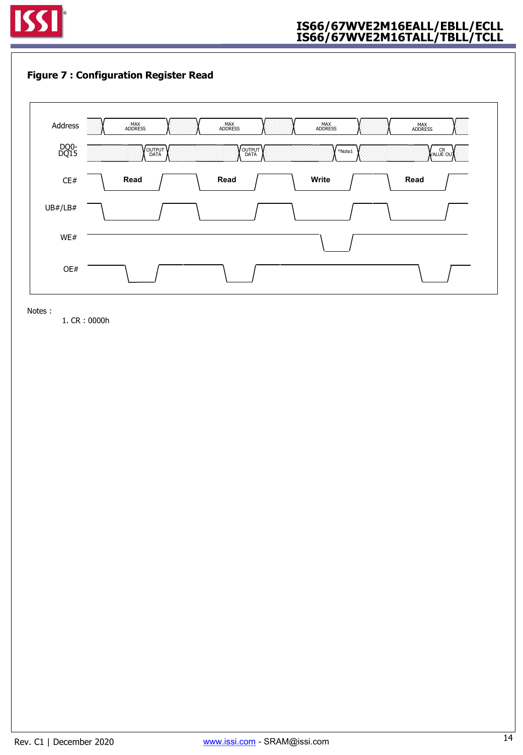

### **Figure 7 : Configuration Register Read**



Notes :

1. CR : 0000h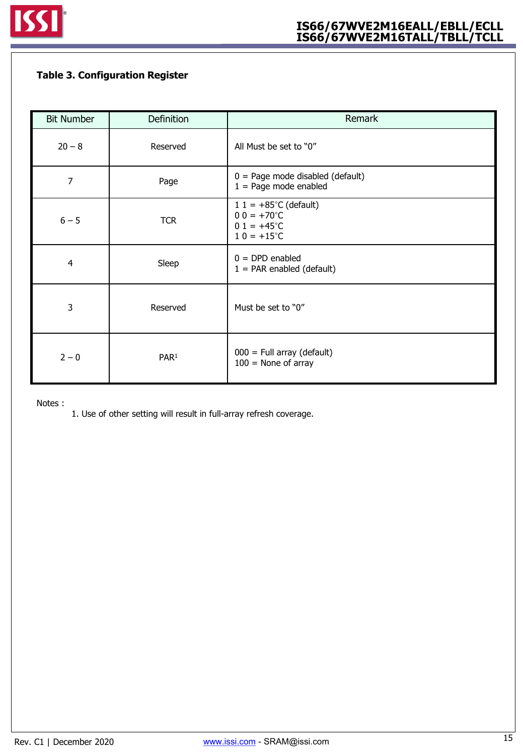## **Table 3. Configuration Register**

| <b>Bit Number</b> | Definition       | Remark                                                                                              |
|-------------------|------------------|-----------------------------------------------------------------------------------------------------|
| $20 - 8$          | Reserved         | All Must be set to "0"                                                                              |
| 7                 | Page             | $0 = Page$ mode disabled (default)<br>$1 = Page$ mode enabled                                       |
| $6 - 5$           | <b>TCR</b>       | $1 1 = +85^{\circ}C$ (default)<br>$00 = +70^{\circ}C$<br>$01 = +45^{\circ}C$<br>$10 = +15^{\circ}C$ |
| $\overline{4}$    | Sleep            | $0 = DPD$ enabled<br>$1 = PAR$ enabled (default)                                                    |
| 3                 | Reserved         | Must be set to "0"                                                                                  |
| $2 - 0$           | PAR <sup>1</sup> | $000 =$ Full array (default)<br>$100$ = None of array                                               |

Notes :

1. Use of other setting will result in full-array refresh coverage.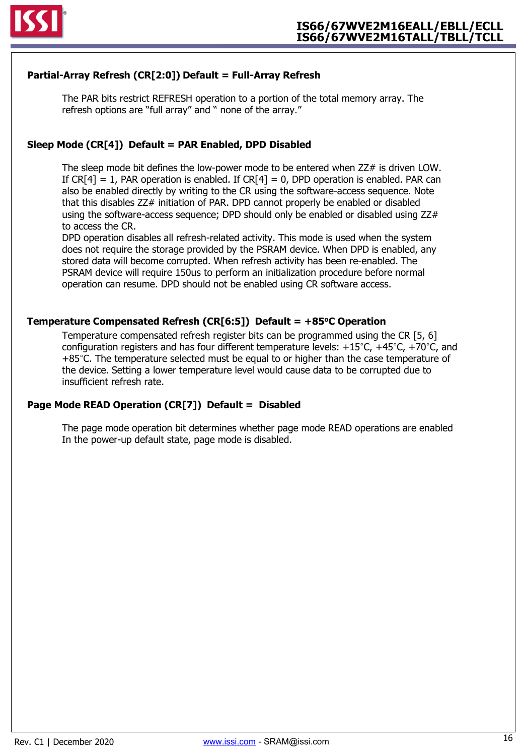

### **Partial-Array Refresh (CR[2:0]) Default = Full-Array Refresh**

The PAR bits restrict REFRESH operation to a portion of the total memory array. The refresh options are "full array" and " none of the array."

### **Sleep Mode (CR[4]) Default = PAR Enabled, DPD Disabled**

The sleep mode bit defines the low-power mode to be entered when ZZ# is driven LOW. If  $CR[4] = 1$ , PAR operation is enabled. If  $CR[4] = 0$ , DPD operation is enabled. PAR can also be enabled directly by writing to the CR using the software-access sequence. Note that this disables ZZ# initiation of PAR. DPD cannot properly be enabled or disabled using the software-access sequence; DPD should only be enabled or disabled using ZZ# to access the CR.

DPD operation disables all refresh-related activity. This mode is used when the system does not require the storage provided by the PSRAM device. When DPD is enabled, any stored data will become corrupted. When refresh activity has been re-enabled. The PSRAM device will require 150us to perform an initialization procedure before normal operation can resume. DPD should not be enabled using CR software access.

#### **Temperature Compensated Refresh (CR[6:5]) Default = +85oC Operation**

Temperature compensated refresh register bits can be programmed using the CR [5, 6] configuration registers and has four different temperature levels:  $+15^{\circ}$ C,  $+45^{\circ}$ C,  $+70^{\circ}$ C, and +85°C. The temperature selected must be equal to or higher than the case temperature of the device. Setting a lower temperature level would cause data to be corrupted due to insufficient refresh rate.

### **Page Mode READ Operation (CR[7]) Default = Disabled**

The page mode operation bit determines whether page mode READ operations are enabled In the power-up default state, page mode is disabled.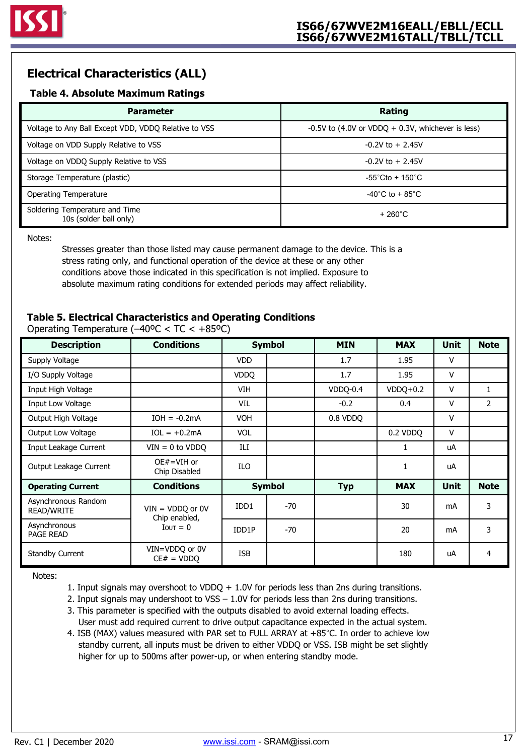## **Electrical Characteristics (ALL)**

### **Table 4. Absolute Maximum Ratings**

| <b>Parameter</b>                                         | Rating                                                |
|----------------------------------------------------------|-------------------------------------------------------|
| Voltage to Any Ball Except VDD, VDDQ Relative to VSS     | $-0.5V$ to (4.0V or VDDQ $+$ 0.3V, whichever is less) |
| Voltage on VDD Supply Relative to VSS                    | $-0.2V$ to $+2.45V$                                   |
| Voltage on VDDQ Supply Relative to VSS                   | $-0.2V$ to $+2.45V$                                   |
| Storage Temperature (plastic)                            | $-55^{\circ}$ Cto + 150 $^{\circ}$ C                  |
| Operating Temperature                                    | -40 $^{\circ}$ C to + 85 $^{\circ}$ C                 |
| Soldering Temperature and Time<br>10s (solder ball only) | $+260^{\circ}$ C                                      |

Notes:

Stresses greater than those listed may cause permanent damage to the device. This is a stress rating only, and functional operation of the device at these or any other conditions above those indicated in this specification is not implied. Exposure to absolute maximum rating conditions for extended periods may affect reliability.

### **Table 5. Electrical Characteristics and Operating Conditions**

| <b>Description</b>                       | <b>Conditions</b>                   |               | <b>Symbol</b> | <b>MIN</b> | <b>MAX</b>   | <b>Unit</b> | <b>Note</b>  |
|------------------------------------------|-------------------------------------|---------------|---------------|------------|--------------|-------------|--------------|
| Supply Voltage                           |                                     | <b>VDD</b>    |               | 1.7        | 1.95         | v           |              |
| I/O Supply Voltage                       |                                     | <b>VDDO</b>   |               | 1.7        | 1.95         | v           |              |
| Input High Voltage                       |                                     | <b>VIH</b>    |               | VDDQ-0.4   | $VDDO+0.2$   | v           | $\mathbf{1}$ |
| Input Low Voltage                        |                                     | VIL           |               | $-0.2$     | 0.4          | v           | 2            |
| Output High Voltage                      | $IOH = -0.2mA$                      | <b>VOH</b>    |               | 0.8 VDDQ   |              | v           |              |
| Output Low Voltage                       | $IOL = +0.2mA$                      | <b>VOL</b>    |               |            | 0.2 VDDQ     | v           |              |
| Input Leakage Current                    | $VIN = 0$ to $VDDQ$                 | ILI           |               |            | $\mathbf{1}$ | uA          |              |
| Output Leakage Current                   | $OE#=VIH$ or<br>Chip Disabled       | ILO           |               |            | 1            | uA          |              |
| <b>Operating Current</b>                 | <b>Conditions</b>                   | <b>Symbol</b> |               | <b>Typ</b> | <b>MAX</b>   | <b>Unit</b> | <b>Note</b>  |
| Asynchronous Random<br><b>READ/WRITE</b> | $VIN = VDDQ$ or 0V<br>Chip enabled, | IDD1          | $-70$         |            | 30           | mA          | 3            |
| Asynchronous<br><b>PAGE READ</b>         | $I$ OUT = 0                         | IDD1P         | $-70$         |            | 20           | mA          | 3            |
| <b>Standby Current</b>                   | VIN=VDDQ or 0V<br>$CE# = VDDQ$      | <b>ISB</b>    |               |            | 180          | uA          | 4            |

Operating Temperature (–40ºC < TC < +85ºC)

Notes:

1. Input signals may overshoot to VDDQ + 1.0V for periods less than 2ns during transitions.

- 2. Input signals may undershoot to VSS 1.0V for periods less than 2ns during transitions.
- 3. This parameter is specified with the outputs disabled to avoid external loading effects. User must add required current to drive output capacitance expected in the actual system.
- 4. ISB (MAX) values measured with PAR set to FULL ARRAY at +85°C. In order to achieve low standby current, all inputs must be driven to either VDDQ or VSS. ISB might be set slightly higher for up to 500ms after power-up, or when entering standby mode.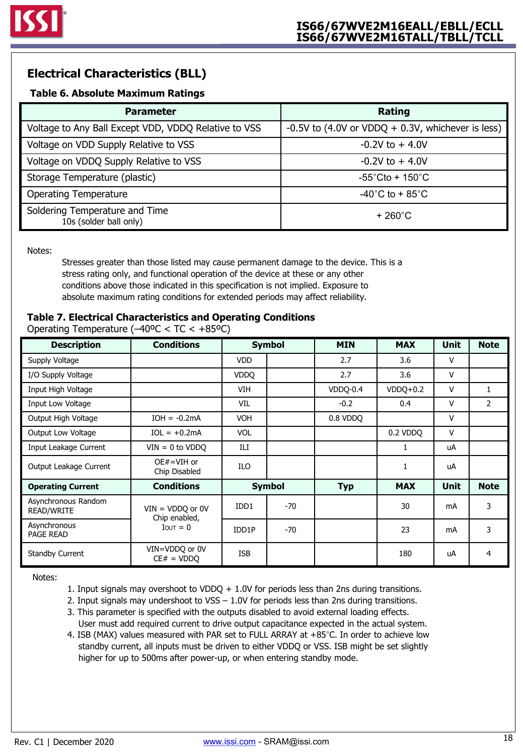## **Electrical Characteristics (BLL)**

### **Table 6. Absolute Maximum Ratings**

| <b>Parameter</b>                                         | Rating                                              |
|----------------------------------------------------------|-----------------------------------------------------|
| Voltage to Any Ball Except VDD, VDDQ Relative to VSS     | -0.5V to (4.0V or VDDQ $+$ 0.3V, whichever is less) |
| Voltage on VDD Supply Relative to VSS                    | $-0.2V$ to $+4.0V$                                  |
| Voltage on VDDQ Supply Relative to VSS                   | $-0.2V$ to $+4.0V$                                  |
| Storage Temperature (plastic)                            | $-55^{\circ}$ Cto + 150 $^{\circ}$ C                |
| <b>Operating Temperature</b>                             | $-40^{\circ}$ C to + 85 $^{\circ}$ C                |
| Soldering Temperature and Time<br>10s (solder ball only) | $+260^{\circ}$ C                                    |

Notes:

Stresses greater than those listed may cause permanent damage to the device. This is a stress rating only, and functional operation of the device at these or any other conditions above those indicated in this specification is not implied. Exposure to absolute maximum rating conditions for extended periods may affect reliability.

### **Table 7. Electrical Characteristics and Operating Conditions**

**Description Conditions Symbol MIN MAX Unit Note** Operating Temperature (–40ºC < TC < +85ºC)

| PUJU IPUUII                       | uunuuun                             |             | <b>symbol</b> | .          | .          | <b></b>      |                |
|-----------------------------------|-------------------------------------|-------------|---------------|------------|------------|--------------|----------------|
| Supply Voltage                    |                                     | <b>VDD</b>  |               | 2.7        | 3.6        | $\mathsf{V}$ |                |
| I/O Supply Voltage                |                                     | <b>VDDO</b> |               | 2.7        | 3.6        | $\mathsf{V}$ |                |
| Input High Voltage                |                                     | VIH         |               | VDDQ-0.4   | $VDDQ+0.2$ | $\vee$       | 1              |
| Input Low Voltage                 |                                     | VIL         |               | $-0.2$     | 0.4        | $\mathsf{V}$ | $\overline{2}$ |
| Output High Voltage               | $IOH = -0.2mA$                      | <b>VOH</b>  |               | 0.8 VDDQ   |            | $\mathsf{V}$ |                |
| Output Low Voltage                | $IOL = +0.2mA$                      | <b>VOL</b>  |               |            | 0.2 VDDO   | $\mathsf{V}$ |                |
| Input Leakage Current             | $VIN = 0$ to $VDDQ$                 | ILI         |               |            | 1          | uA           |                |
| Output Leakage Current            | $OE#=VIH$ or<br>Chip Disabled       | ILO         |               |            | 1          | uA           |                |
| <b>Operating Current</b>          | <b>Conditions</b>                   |             | <b>Symbol</b> | <b>Typ</b> | <b>MAX</b> | <b>Unit</b>  | <b>Note</b>    |
| Asynchronous Random<br>READ/WRITE | $VIN = VDDQ$ or 0V<br>Chip enabled, | IDD1        | $-70$         |            | 30         | mA           | 3              |
| Asynchronous<br>PAGE READ         | $I$ <sub>OUT</sub> = 0              | IDD1P       | $-70$         |            | 23         | mA           | 3              |
| <b>Standby Current</b>            | VIN=VDDQ or 0V<br>$CE# = VDDQ$      | <b>ISB</b>  |               |            | 180        | uA           | 4              |

Notes:

1. Input signals may overshoot to VDDQ + 1.0V for periods less than 2ns during transitions.

- 2. Input signals may undershoot to VSS 1.0V for periods less than 2ns during transitions.
- 3. This parameter is specified with the outputs disabled to avoid external loading effects. User must add required current to drive output capacitance expected in the actual system.
- 4. ISB (MAX) values measured with PAR set to FULL ARRAY at +85°C. In order to achieve low standby current, all inputs must be driven to either VDDQ or VSS. ISB might be set slightly higher for up to 500ms after power-up, or when entering standby mode.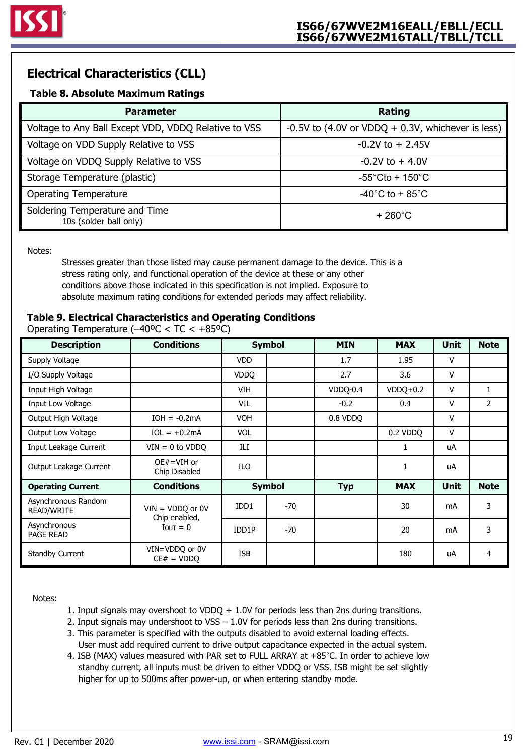## **Electrical Characteristics (CLL)**

### **Table 8. Absolute Maximum Ratings**

| <b>Parameter</b>                                         | Rating                                              |
|----------------------------------------------------------|-----------------------------------------------------|
| Voltage to Any Ball Except VDD, VDDQ Relative to VSS     | -0.5V to (4.0V or VDDQ $+$ 0.3V, whichever is less) |
| Voltage on VDD Supply Relative to VSS                    | $-0.2V$ to $+2.45V$                                 |
| Voltage on VDDQ Supply Relative to VSS                   | $-0.2V$ to $+4.0V$                                  |
| Storage Temperature (plastic)                            | $-55^{\circ}$ Cto + 150 $^{\circ}$ C                |
| <b>Operating Temperature</b>                             | $-40^{\circ}$ C to + 85 $^{\circ}$ C                |
| Soldering Temperature and Time<br>10s (solder ball only) | $+260^{\circ}$ C                                    |

Notes:

Stresses greater than those listed may cause permanent damage to the device. This is a stress rating only, and functional operation of the device at these or any other conditions above those indicated in this specification is not implied. Exposure to absolute maximum rating conditions for extended periods may affect reliability.

### **Table 9. Electrical Characteristics and Operating Conditions**

| <b>Description</b>                | <b>Conditions</b>                   |             | <b>Symbol</b> | <b>MIN</b> | <b>MAX</b>   | <b>Unit</b>  | <b>Note</b>    |
|-----------------------------------|-------------------------------------|-------------|---------------|------------|--------------|--------------|----------------|
| Supply Voltage                    |                                     | <b>VDD</b>  |               | 1.7        | 1.95         | V            |                |
| I/O Supply Voltage                |                                     | <b>VDDO</b> |               | 2.7        | 3.6          | V            |                |
| Input High Voltage                |                                     | VIH         |               | VDDQ-0.4   | $VDDQ+0.2$   | $\mathsf{V}$ | 1              |
| Input Low Voltage                 |                                     | VIL         |               | $-0.2$     | 0.4          | $\mathsf{V}$ | $\overline{2}$ |
| Output High Voltage               | $IOH = -0.2mA$                      | <b>VOH</b>  |               | 0.8 VDDQ   |              | V            |                |
| Output Low Voltage                | $IOL = +0.2mA$                      | <b>VOL</b>  |               |            | 0.2 VDDO     | V            |                |
| Input Leakage Current             | $VIN = 0$ to $VDDQ$                 | ILI         |               |            |              | uA           |                |
| Output Leakage Current            | $OE#=VIH$ or<br>Chip Disabled       | <b>ILO</b>  |               |            | $\mathbf{1}$ | uA           |                |
| <b>Operating Current</b>          | <b>Conditions</b>                   |             | <b>Symbol</b> | <b>Typ</b> | <b>MAX</b>   | <b>Unit</b>  | <b>Note</b>    |
| Asynchronous Random<br>READ/WRITE | $VIN = VDDQ$ or 0V<br>Chip enabled, | IDD1        | $-70$         |            | 30           | mA           | 3              |
| Asynchronous<br><b>PAGE READ</b>  | $I$ <sub>OUT</sub> = 0              | IDD1P       | $-70$         |            | 20           | mA           | 3              |
| <b>Standby Current</b>            | VIN=VDDQ or 0V<br>$CE# = VDDQ$      | <b>ISB</b>  |               |            | 180          | uA           | 4              |

Operating Temperature  $(-40$ <sup>o</sup>C < TC <  $+85$ <sup>o</sup>C)

Notes:

- 1. Input signals may overshoot to VDDQ + 1.0V for periods less than 2ns during transitions.
- 2. Input signals may undershoot to VSS 1.0V for periods less than 2ns during transitions.
- 3. This parameter is specified with the outputs disabled to avoid external loading effects. User must add required current to drive output capacitance expected in the actual system.
- 4. ISB (MAX) values measured with PAR set to FULL ARRAY at +85°C. In order to achieve low standby current, all inputs must be driven to either VDDQ or VSS. ISB might be set slightly higher for up to 500ms after power-up, or when entering standby mode.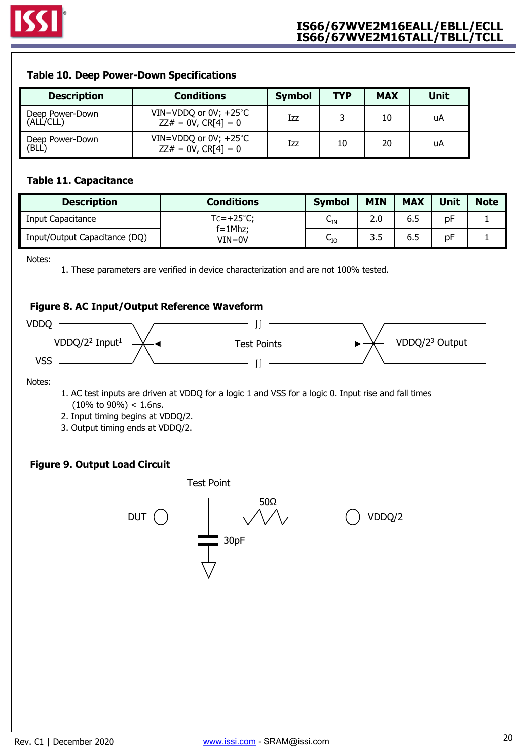### **Table 10. Deep Power-Down Specifications**

| <b>Description</b>           | <b>Conditions</b>                                       | <b>Symbol</b> | <b>TYP</b> | <b>MAX</b> | <b>Unit</b> |
|------------------------------|---------------------------------------------------------|---------------|------------|------------|-------------|
| Deep Power-Down<br>(ALL/CLL) | VIN=VDDQ or $0V$ ; +25 $°C$<br>$ZZ# = 0V$ , $CR[4] = 0$ | Izz           |            | 10         | uA          |
| Deep Power-Down<br>(BLL)     | VIN=VDDQ or $0V$ ; +25 $°C$<br>$ZZ# = 0V$ , CR[4] = 0   | Izz           | 10         | 20         | uA          |

### **Table 11. Capacitance**

| <b>Description</b>            | <b>Conditions</b>      | <b>Symbol</b>       | <b>MIN</b> | <b>MAX</b> | <b>Unit</b> | <b>Note</b> |
|-------------------------------|------------------------|---------------------|------------|------------|-------------|-------------|
| Input Capacitance             | $Tc=+25^{\circ}C$ ;    | ∪թ                  | 2.0        | 6.5        | рF          |             |
| Input/Output Capacitance (DQ) | $f = 1$ Mhz;<br>VIN=0V | ∽<br>$\mathsf{u}_0$ | 3.5        | 6.5        | рF          |             |

Notes:

1. These parameters are verified in device characterization and are not 100% tested.

### **Figure 8. AC Input/Output Reference Waveform**



Notes:

- 1. AC test inputs are driven at VDDQ for a logic 1 and VSS for a logic 0. Input rise and fall times  $(10\% \text{ to } 90\%) < 1.6$ ns.
- 2. Input timing begins at VDDQ/2.
- 3. Output timing ends at VDDQ/2.

### **Figure 9. Output Load Circuit**

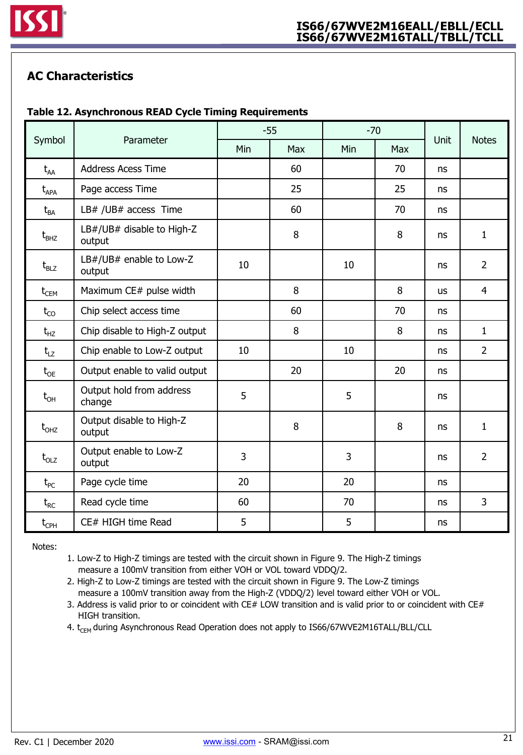

## **AC Characteristics**

## **Table 12. Asynchronous READ Cycle Timing Requirements**

|                                      |                                     | $-55$ |     | $-70$ |     | Unit      | <b>Notes</b>   |
|--------------------------------------|-------------------------------------|-------|-----|-------|-----|-----------|----------------|
| Symbol                               | Parameter                           | Min   | Max | Min   | Max |           |                |
| $t_{AA}$                             | <b>Address Acess Time</b>           |       | 60  |       | 70  | <b>ns</b> |                |
| $t_{APA}$                            | Page access Time                    |       | 25  |       | 25  | ns        |                |
| $t_{BA}$                             | LB# /UB# access Time                |       | 60  |       | 70  | ns        |                |
| $t_{BHZ}$                            | LB#/UB# disable to High-Z<br>output |       | 8   |       | 8   | ns        | $\mathbf{1}$   |
| $t_{BLZ}$                            | LB#/UB# enable to Low-Z<br>output   | 10    |     | 10    |     | ns        | $\overline{2}$ |
| $t_{\scriptscriptstyle{\text{CEM}}}$ | Maximum CE# pulse width             |       | 8   |       | 8   | <b>us</b> | $\overline{4}$ |
| $t_{CO}$                             | Chip select access time             |       | 60  |       | 70  | ns        |                |
| $t_{HZ}$                             | Chip disable to High-Z output       |       | 8   |       | 8   | ns        | $\mathbf{1}$   |
| $t_{LZ}$                             | Chip enable to Low-Z output         | 10    |     | 10    |     | ns        | $\overline{2}$ |
| $t_{OE}$                             | Output enable to valid output       |       | 20  |       | 20  | ns        |                |
| $t_{\text{OH}}$                      | Output hold from address<br>change  | 5     |     | 5     |     | ns        |                |
| $t_{OHZ}$                            | Output disable to High-Z<br>output  |       | 8   |       | 8   | ns        | 1              |
| $t_{OLZ}$                            | Output enable to Low-Z<br>output    | 3     |     | 3     |     | ns        | $\overline{2}$ |
| $t_{PC}$                             | Page cycle time                     | 20    |     | 20    |     | ns        |                |
| $t_{RC}$                             | Read cycle time                     | 60    |     | 70    |     | ns        | 3              |
| $t_{\text{CPH}}$                     | CE# HIGH time Read                  | 5     |     | 5     |     | ns        |                |

Notes:

- 1. Low-Z to High-Z timings are tested with the circuit shown in Figure 9. The High-Z timings measure a 100mV transition from either VOH or VOL toward VDDQ/2.
- 2. High-Z to Low-Z timings are tested with the circuit shown in Figure 9. The Low-Z timings measure a 100mV transition away from the High-Z (VDDQ/2) level toward either VOH or VOL.
- 3. Address is valid prior to or coincident with CE# LOW transition and is valid prior to or coincident with CE# HIGH transition.
- 4. t<sub>CEM</sub> during Asynchronous Read Operation does not apply to IS66/67WVE2M16TALL/BLL/CLL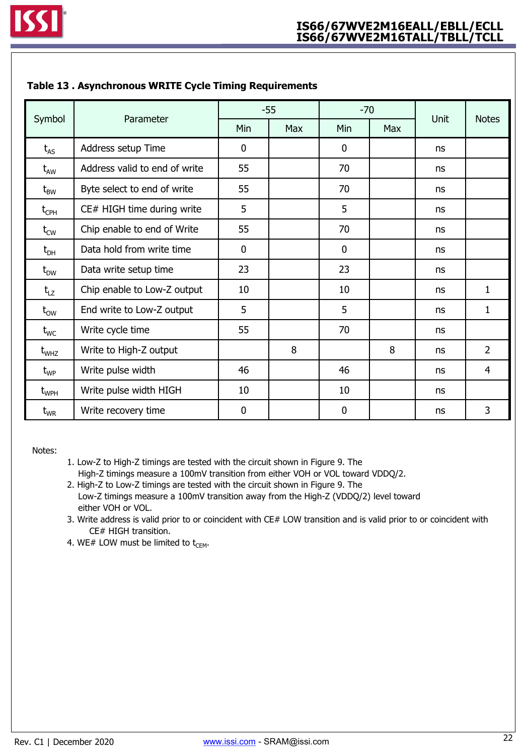|                                   |                               |                  | $-55$ | $-70$       |     |      |                |
|-----------------------------------|-------------------------------|------------------|-------|-------------|-----|------|----------------|
| Symbol                            | Parameter                     | Min              | Max   | Min         | Max | Unit | <b>Notes</b>   |
| $t_{AS}$                          | Address setup Time            | $\mathbf 0$      |       | 0           |     | ns   |                |
| $\rm{t}_{AW}$                     | Address valid to end of write | 55               |       | 70          |     | ns   |                |
| $\bm{{\mathsf{t}}}_{\mathsf{BW}}$ | Byte select to end of write   | 55               |       | 70          |     | ns   |                |
| $t_{\text{CPH}}$                  | CE# HIGH time during write    | 5                |       | 5           |     | ns   |                |
| $t_{\text{\tiny CW}}$             | Chip enable to end of Write   | 55               |       | 70          |     | ns   |                |
| $t_{\text{DH}}$                   | Data hold from write time     | $\mathbf 0$      |       | $\mathbf 0$ |     | ns   |                |
| $t_{DW}$                          | Data write setup time         | 23               |       | 23          |     | ns   |                |
| $t_{LZ}$                          | Chip enable to Low-Z output   | 10               |       | 10          |     | ns   | 1              |
| $t_{ow}$                          | End write to Low-Z output     | 5                |       | 5           |     | ns   | 1              |
| $t_{WC}$                          | Write cycle time              | 55               |       | 70          |     | ns   |                |
| $\rm t_{\rm WHZ}$                 | Write to High-Z output        |                  | 8     |             | 8   | ns   | $\overline{2}$ |
| $\rm t_{\rm WP}$                  | Write pulse width             | 46               |       | 46          |     | ns   | $\overline{4}$ |
| $t_{WPH}$                         | Write pulse width HIGH        | 10               |       | 10          |     | ns   |                |
| $\rm t_{\rm WR}$                  | Write recovery time           | $\boldsymbol{0}$ |       | $\mathbf 0$ |     | ns   | 3              |

### **Table 13 . Asynchronous WRITE Cycle Timing Requirements**

Notes:

- 1. Low-Z to High-Z timings are tested with the circuit shown in Figure 9. The High-Z timings measure a 100mV transition from either VOH or VOL toward VDDQ/2.
- 2. High-Z to Low-Z timings are tested with the circuit shown in Figure 9. The Low-Z timings measure a 100mV transition away from the High-Z (VDDQ/2) level toward either VOH or VOL.
- 3. Write address is valid prior to or coincident with CE# LOW transition and is valid prior to or coincident with CE# HIGH transition.
- 4. WE# LOW must be limited to  $t_{\text{CEM}}$ .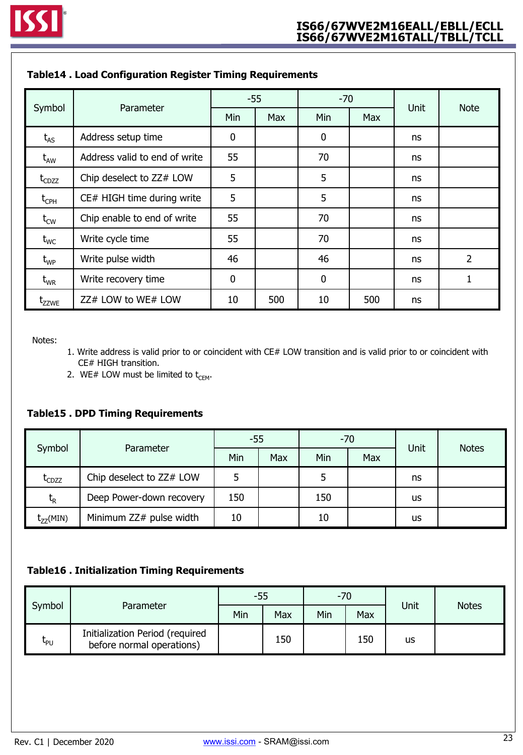|                   |                               | $-55$       |     | $-70$            |     |      |             |
|-------------------|-------------------------------|-------------|-----|------------------|-----|------|-------------|
| Symbol            | Parameter                     | Min         | Max | Min              | Max | Unit | <b>Note</b> |
| $t_{AS}$          | Address setup time            | $\mathbf 0$ |     | $\boldsymbol{0}$ |     | ns   |             |
| $t_{AW}$          | Address valid to end of write | 55          |     | 70               |     | ns   |             |
| $t_{CDZZ}$        | Chip deselect to ZZ# LOW      | 5           |     | 5                |     | ns   |             |
| $t_{\text{CPH}}$  | CE# HIGH time during write    | 5           |     | 5                |     | ns   |             |
| $t_{\text{CW}}$   | Chip enable to end of write   | 55          |     | 70               |     | ns   |             |
| $t_{WC}$          | Write cycle time              | 55          |     | 70               |     | ns   |             |
| $\rm t_{\rm WP}$  | Write pulse width             | 46          |     | 46               |     | ns   | 2           |
| $\rm t_{\rm WR}$  | Write recovery time           | $\mathbf 0$ |     | $\boldsymbol{0}$ |     | ns   | 1           |
| t <sub>zzwe</sub> | ZZ# LOW to WE# LOW            | 10          | 500 | 10               | 500 | ns   |             |

### **Table14 . Load Configuration Register Timing Requirements**

Notes:

- 1. Write address is valid prior to or coincident with CE# LOW transition and is valid prior to or coincident with CE# HIGH transition.
- 2. WE# LOW must be limited to  $t_{\text{CEM}}$ .

### **Table15 . DPD Timing Requirements**

|               | Parameter                |     | $-55$<br>$-70$ |     |     | Unit | <b>Notes</b> |
|---------------|--------------------------|-----|----------------|-----|-----|------|--------------|
| Symbol        |                          | Min | Max            | Min | Max |      |              |
| $t_{CDZZ}$    | Chip deselect to ZZ# LOW |     |                |     |     | ns   |              |
| $t_{\sf R}$   | Deep Power-down recovery | 150 |                | 150 |     | us   |              |
| $t_{77}(MIN)$ | Minimum ZZ# pulse width  | 10  |                | 10  |     | us   |              |

### **Table16 . Initialization Timing Requirements**

| Symbol |                                                              | -55 |     | $-70$ |     |      |              |
|--------|--------------------------------------------------------------|-----|-----|-------|-----|------|--------------|
|        | Parameter                                                    |     | Max | Min   | Max | Unit | <b>Notes</b> |
| Կթ∪    | Initialization Period (required<br>before normal operations) |     | 150 |       | 150 | us   |              |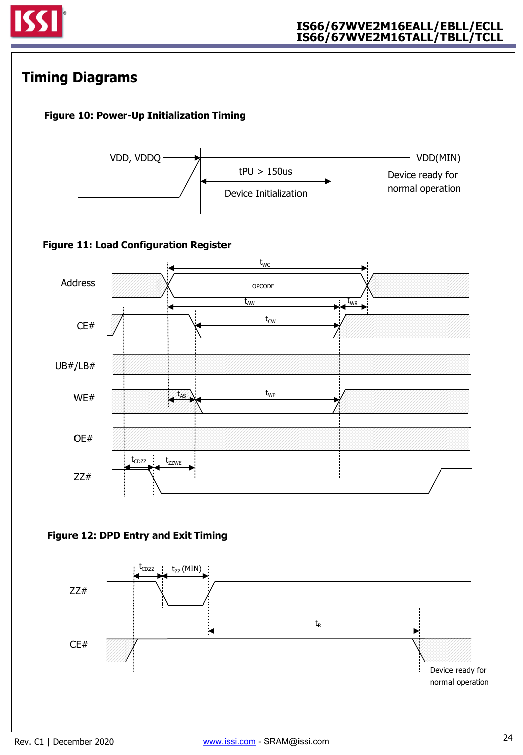

## **Timing Diagrams**

## **Figure 10: Power-Up Initialization Timing**



## **Figure 11: Load Configuration Register**



### **Figure 12: DPD Entry and Exit Timing**

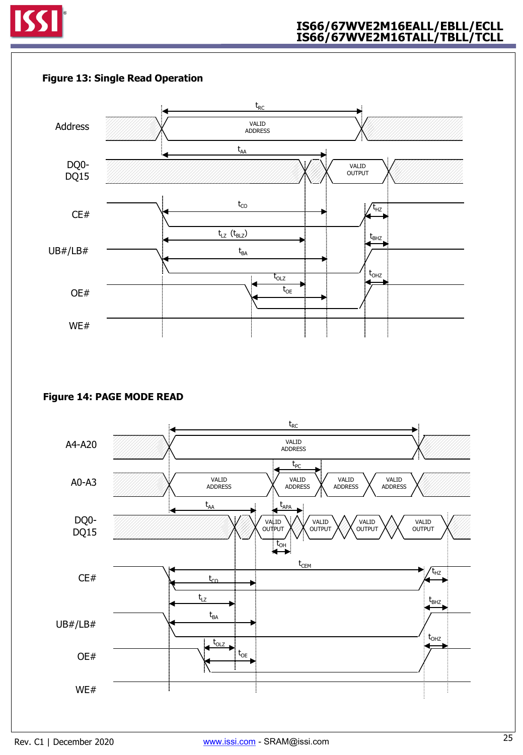



### **Figure 14: PAGE MODE READ**

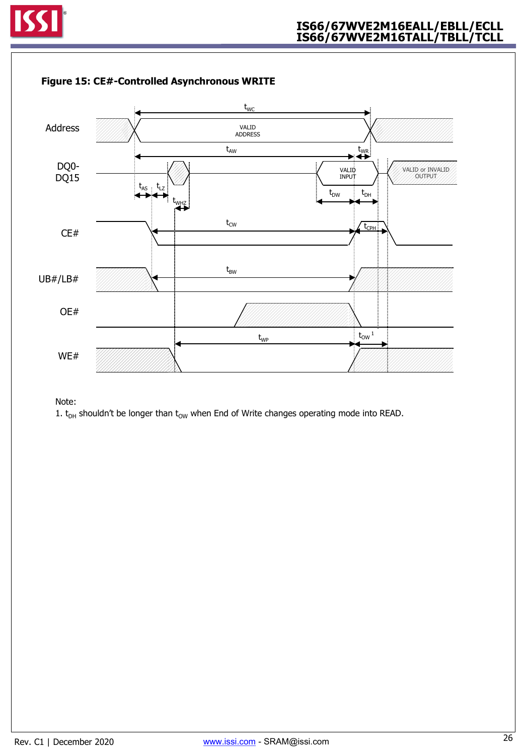



### **Figure 15: CE#-Controlled Asynchronous WRITE**

Note:

1.  $t_{DH}$  shouldn't be longer than  $t_{OW}$  when End of Write changes operating mode into READ.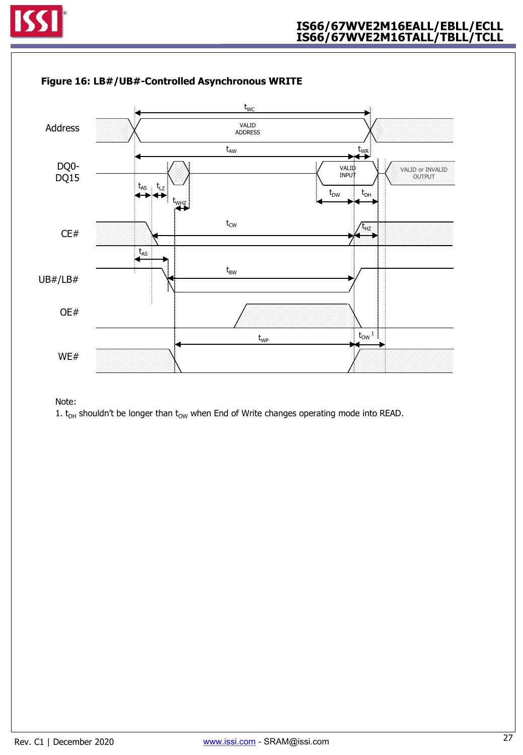



### **Figure 16: LB#/UB#-Controlled Asynchronous WRITE**

Note:

1.  $t_{DH}$  shouldn't be longer than  $t_{OW}$  when End of Write changes operating mode into READ.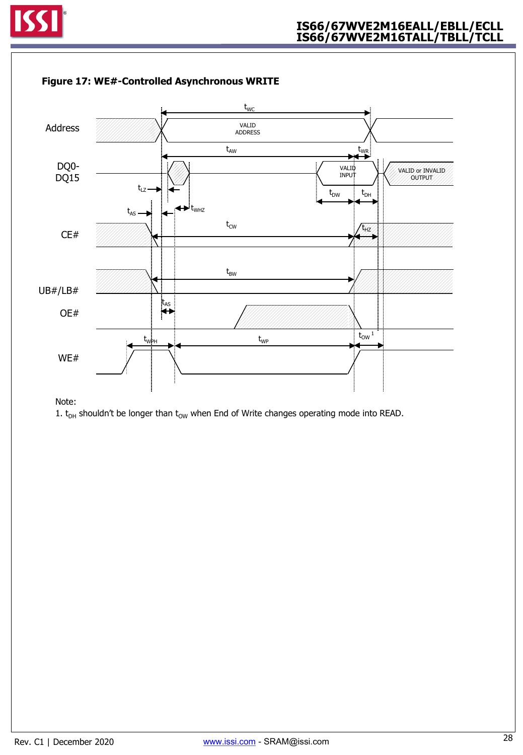



#### **Figure 17: WE#-Controlled Asynchronous WRITE**

Note:

<sup>1.</sup>  $t_{DH}$  shouldn't be longer than  $t_{OW}$  when End of Write changes operating mode into READ.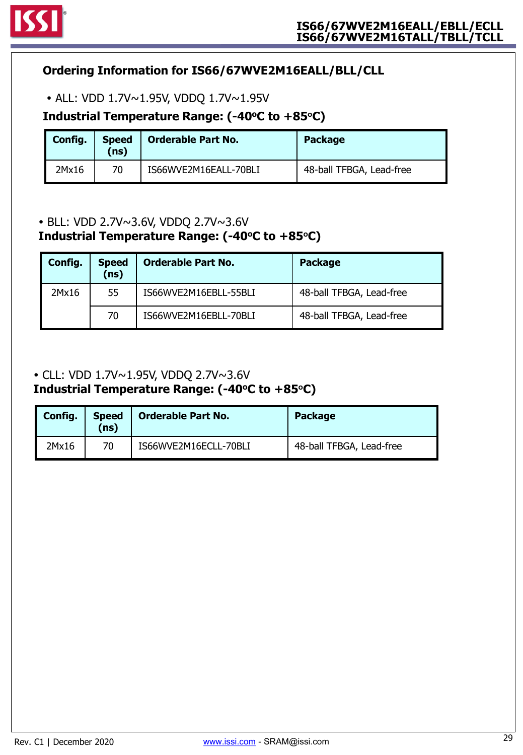

## **Ordering Information for IS66/67WVE2M16EALL/BLL/CLL**

ALL: VDD 1.7V~1.95V, VDDQ 1.7V~1.95V

## **Industrial Temperature Range: (-40oC to +85<sup>o</sup>C)**

| Config. | <b>Speed</b><br>$\mathsf{ns}$ | <b>Orderable Part No.</b> | <b>Package</b>           |
|---------|-------------------------------|---------------------------|--------------------------|
| 2Mx16   | 70                            | IS66WVE2M16EALL-70BLI     | 48-ball TFBGA, Lead-free |

## BLL: VDD 2.7V~3.6V, VDDQ 2.7V~3.6V

## **Industrial Temperature Range: (-40oC to +85<sup>o</sup>C)**

| Config. | <b>Speed</b><br>(ns) | <b>Orderable Part No.</b> | <b>Package</b>           |
|---------|----------------------|---------------------------|--------------------------|
| 2Mx16   | 55                   | IS66WVE2M16EBLL-55BLI     | 48-ball TFBGA, Lead-free |
|         | 70                   | IS66WVE2M16EBLL-70BLI     | 48-ball TFBGA, Lead-free |

## CLL: VDD 1.7V~1.95V, VDDQ 2.7V~3.6V

## **Industrial Temperature Range: (-40oC to +85<sup>o</sup>C)**

| <b>Config.</b> | <b>Speed</b><br>(ns) | <b>Orderable Part No.</b> | <b>Package</b>           |
|----------------|----------------------|---------------------------|--------------------------|
| 2Mx16          | 70                   | IS66WVE2M16ECLL-70BLI     | 48-ball TFBGA, Lead-free |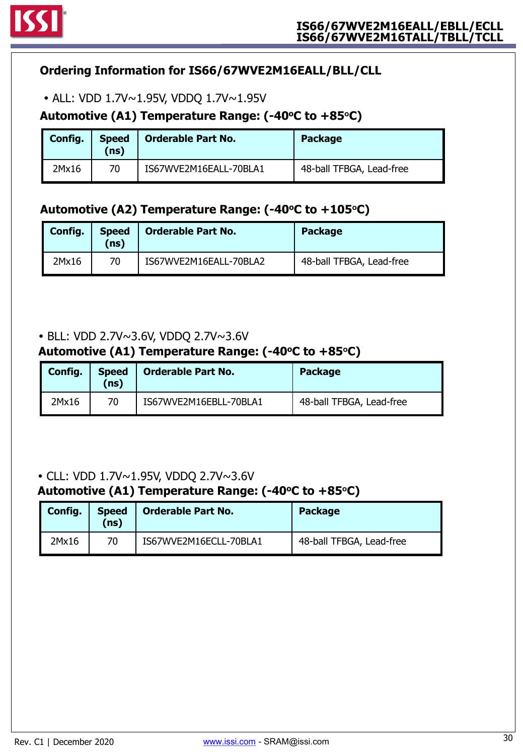

## **Ordering Information for IS66/67WVE2M16EALL/BLL/CLL**

ALL: VDD 1.7V~1.95V, VDDQ 1.7V~1.95V

## **Automotive (A1) Temperature Range: (-40oC to +85<sup>o</sup>C)**

| Config. | <b>Speed</b><br>(ns) | <b>Orderable Part No.</b> | <b>Package</b>           |
|---------|----------------------|---------------------------|--------------------------|
| 2Mx16   | 70                   | IS67WVE2M16EALL-70BLA1    | 48-ball TFBGA, Lead-free |

## **Automotive (A2) Temperature Range: (-40oC to +105<sup>o</sup>C)**

| Config. | <b>Speed</b><br>(ns) | <b>Orderable Part No.</b> | <b>Package</b>           |
|---------|----------------------|---------------------------|--------------------------|
| 2Mx16   | 70                   | IS67WVE2M16EALL-70BLA2    | 48-ball TFBGA, Lead-free |

## BLL: VDD 2.7V~3.6V, VDDQ 2.7V~3.6V

## **Automotive (A1) Temperature Range: (-40oC to +85<sup>o</sup>C)**

| Config. | <b>Speed</b><br>(ns) | Orderable Part No.     | <b>Package</b>           |
|---------|----------------------|------------------------|--------------------------|
| 2Mx16   | 70                   | IS67WVE2M16EBLL-70BLA1 | 48-ball TFBGA, Lead-free |

## CLL: VDD 1.7V~1.95V, VDDQ 2.7V~3.6V

## **Automotive (A1) Temperature Range: (-40oC to +85<sup>o</sup>C)**

| Config. | <b>Speed</b><br>(ns) | <b>Orderable Part No.</b> | <b>Package</b>           |
|---------|----------------------|---------------------------|--------------------------|
| 2Mx16   | 70                   | IS67WVE2M16ECLL-70BLA1    | 48-ball TFBGA, Lead-free |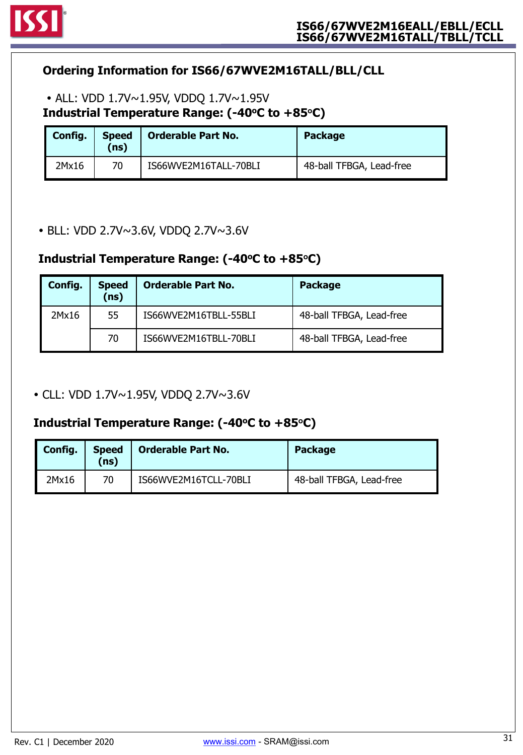

## **Ordering Information for IS66/67WVE2M16TALL/BLL/CLL**

## **Industrial Temperature Range: (-40oC to +85<sup>o</sup>C)** ALL: VDD 1.7V~1.95V, VDDQ 1.7V~1.95V

| Config. | <b>Speed</b><br>(ns) | <b>Orderable Part No.</b> | <b>Package</b>           |
|---------|----------------------|---------------------------|--------------------------|
| 2Mx16   | 70                   | IS66WVE2M16TALL-70BLI     | 48-ball TFBGA, Lead-free |

BLL: VDD 2.7V~3.6V, VDDQ 2.7V~3.6V

## **Industrial Temperature Range: (-40oC to +85<sup>o</sup>C)**

| Config. | <b>Speed</b><br>(ns) | <b>Orderable Part No.</b> | <b>Package</b>           |
|---------|----------------------|---------------------------|--------------------------|
| 2Mx16   | 55                   | IS66WVE2M16TBLL-55BLI     | 48-ball TFBGA, Lead-free |
|         | 70                   | IS66WVE2M16TBLL-70BLI     | 48-ball TFBGA, Lead-free |

CLL: VDD 1.7V~1.95V, VDDQ 2.7V~3.6V

## **Industrial Temperature Range: (-40oC to +85<sup>o</sup>C)**

| Config. | <b>Speed</b><br>(ns) | Orderable Part No.    | <b>Package</b>           |
|---------|----------------------|-----------------------|--------------------------|
| 2Mx16   | 70                   | IS66WVE2M16TCLL-70BLI | 48-ball TFBGA, Lead-free |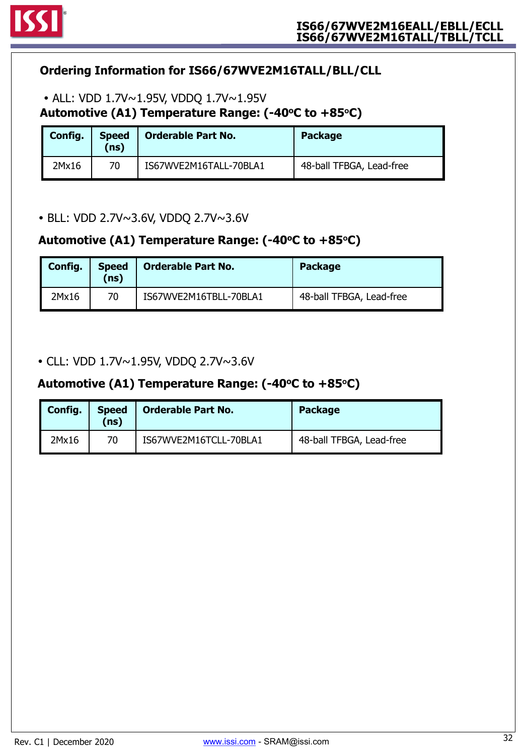

## **Ordering Information for IS66/67WVE2M16TALL/BLL/CLL**

Automotive (A1) Temperature Range: (-40°C to +85°C) ALL: VDD 1.7V~1.95V, VDDQ 1.7V~1.95V

| Config. | <b>Speed</b><br>(ns) | <b>Orderable Part No.</b> | <b>Package</b>           |
|---------|----------------------|---------------------------|--------------------------|
| 2Mx16   | 70                   | IS67WVE2M16TALL-70BLA1    | 48-ball TFBGA, Lead-free |

BLL: VDD 2.7V~3.6V, VDDQ 2.7V~3.6V

## **Automotive (A1) Temperature Range: (-40oC to +85<sup>o</sup>C)**

| Config. | <b>Speed</b><br>(ns) | <b>Orderable Part No.</b> | <b>Package</b>           |
|---------|----------------------|---------------------------|--------------------------|
| 2Mx16   | 70                   | IS67WVE2M16TBLL-70BLA1    | 48-ball TFBGA, Lead-free |

CLL: VDD 1.7V~1.95V, VDDQ 2.7V~3.6V

## Automotive (A1) Temperature Range: (-40°C to +85°C)

| Config. | <b>Speed</b><br>(ns) | <b>Orderable Part No.</b> | <b>Package</b>           |
|---------|----------------------|---------------------------|--------------------------|
| 2Mx16   | 70                   | IS67WVE2M16TCLL-70BLA1    | 48-ball TFBGA, Lead-free |